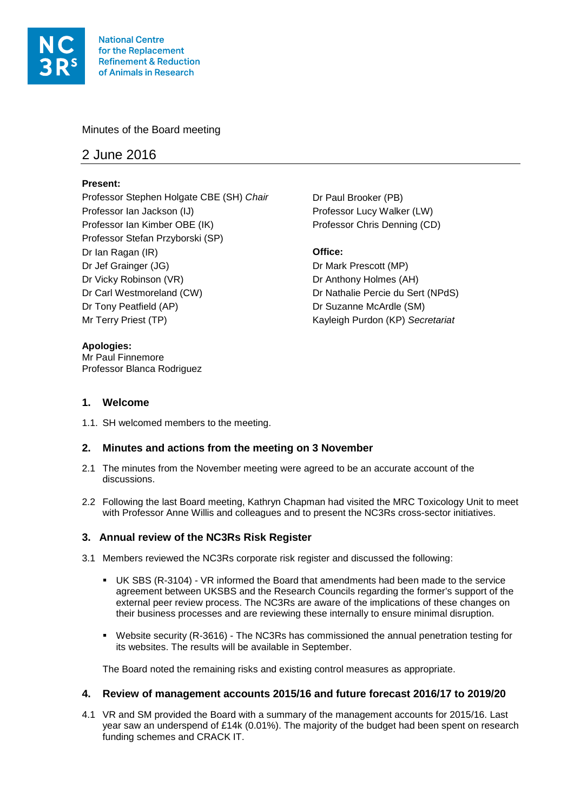

# Minutes of the Board meeting

# 2 June 2016

# **Present:**

Professor Stephen Holgate CBE (SH) *Chair* Dr Paul Brooker (PB) Professor Ian Jackson (IJ) Professor Lucy Walker (LW) Professor Ian Kimber OBE (IK) Professor Chris Denning (CD) Professor Stefan Przyborski (SP) Dr Ian Ragan (IR) **Office:** Dr Jef Grainger (JG) Dr Mark Prescott (MP) Dr Vicky Robinson (VR) Dr Anthony Holmes (AH) Dr Carl Westmoreland (CW) Dr Nathalie Percie du Sert (NPdS) Dr Tony Peatfield (AP) Dr Suzanne McArdle (SM) Mr Terry Priest (TP) Kayleigh Purdon (KP) *Secretariat*

Mr Paul Finnemore

**Apologies:**

**1. Welcome**

Professor Blanca Rodriguez

1.1. SH welcomed members to the meeting.

# **2. Minutes and actions from the meeting on 3 November**

- 2.1 The minutes from the November meeting were agreed to be an accurate account of the discussions.
- 2.2 Following the last Board meeting, Kathryn Chapman had visited the MRC Toxicology Unit to meet with Professor Anne Willis and colleagues and to present the NC3Rs cross-sector initiatives.

# **3. Annual review of the NC3Rs Risk Register**

- 3.1 Members reviewed the NC3Rs corporate risk register and discussed the following:
	- UK SBS (R-3104) VR informed the Board that amendments had been made to the service agreement between UKSBS and the Research Councils regarding the former's support of the external peer review process. The NC3Rs are aware of the implications of these changes on their business processes and are reviewing these internally to ensure minimal disruption.
	- Website security (R-3616) The NC3Rs has commissioned the annual penetration testing for its websites. The results will be available in September.

The Board noted the remaining risks and existing control measures as appropriate.

### **4. Review of management accounts 2015/16 and future forecast 2016/17 to 2019/20**

4.1 VR and SM provided the Board with a summary of the management accounts for 2015/16. Last year saw an underspend of £14k (0.01%). The majority of the budget had been spent on research funding schemes and CRACK IT.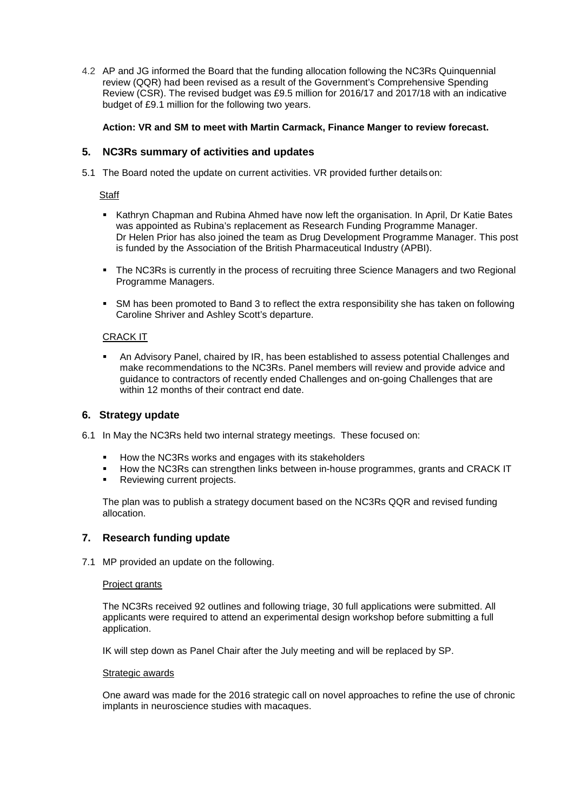4.2 AP and JG informed the Board that the funding allocation following the NC3Rs Quinquennial review (QQR) had been revised as a result of the Government's Comprehensive Spending Review (CSR). The revised budget was £9.5 million for 2016/17 and 2017/18 with an indicative budget of £9.1 million for the following two years.

# **Action: VR and SM to meet with Martin Carmack, Finance Manger to review forecast.**

# **5. NC3Rs summary of activities and updates**

5.1 The Board noted the update on current activities. VR provided further detailson:

# **Staff**

- Kathryn Chapman and Rubina Ahmed have now left the organisation. In April, Dr Katie Bates was appointed as Rubina's replacement as Research Funding Programme Manager. Dr Helen Prior has also joined the team as Drug Development Programme Manager. This post is funded by the Association of the British Pharmaceutical Industry (APBI).
- The NC3Rs is currently in the process of recruiting three Science Managers and two Regional Programme Managers.
- SM has been promoted to Band 3 to reflect the extra responsibility she has taken on following Caroline Shriver and Ashley Scott's departure.

### CRACK IT

 An Advisory Panel, chaired by IR, has been established to assess potential Challenges and make recommendations to the NC3Rs. Panel members will review and provide advice and guidance to contractors of recently ended Challenges and on-going Challenges that are within 12 months of their contract end date.

### **6. Strategy update**

- 6.1 In May the NC3Rs held two internal strategy meetings. These focused on:
	- How the NC3Rs works and engages with its stakeholders
	- How the NC3Rs can strengthen links between in-house programmes, grants and CRACK IT
	- Reviewing current projects.

The plan was to publish a strategy document based on the NC3Rs QQR and revised funding allocation.

### **7. Research funding update**

7.1 MP provided an update on the following.

### Project grants

The NC3Rs received 92 outlines and following triage, 30 full applications were submitted. All applicants were required to attend an experimental design workshop before submitting a full application.

IK will step down as Panel Chair after the July meeting and will be replaced by SP.

#### Strategic awards

One award was made for the 2016 strategic call on novel approaches to refine the use of chronic implants in neuroscience studies with macaques.